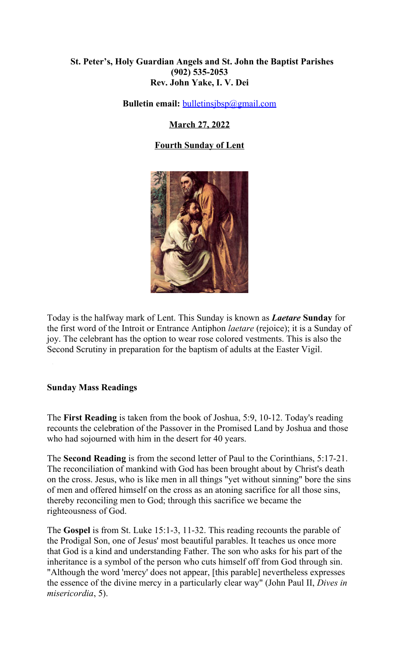# **St. Peter's, Holy Guardian Angels and St. John the Baptist Parishes (902) 535-2053 Rev. John Yake, I. V. Dei**

**Bulletin email:** [bulletinsjbsp@gmail.com](mailto:bulletinsjbsp@gmail.com)

**March 27, 2022**

# **Fourth Sunday of Lent**



Today is the halfway mark of Lent. This Sunday is known as *Laetare* **Sunday** for the first word of the Introit or Entrance Antiphon *laetare* (rejoice); it is a Sunday of joy. The celebrant has the option to wear rose colored vestments. This is also the Second Scrutiny in preparation for the baptism of adults at the Easter Vigil.

### **Sunday Mass Readings**

The **First Reading** is taken from the book of Joshua, 5:9, 10-12. Today's reading recounts the celebration of the Passover in the Promised Land by Joshua and those who had sojourned with him in the desert for 40 years.

The **Second Reading** is from the second letter of Paul to the Corinthians, 5:17-21. The reconciliation of mankind with God has been brought about by Christ's death on the cross. Jesus, who is like men in all things "yet without sinning" bore the sins of men and offered himself on the cross as an atoning sacrifice for all those sins, thereby reconciling men to God; through this sacrifice we became the righteousness of God.

The **Gospel** is from St. Luke 15:1-3, 11-32. This reading recounts the parable of the Prodigal Son, one of Jesus' most beautiful parables. It teaches us once more that God is a kind and understanding Father. The son who asks for his part of the inheritance is a symbol of the person who cuts himself off from God through sin. "Although the word 'mercy' does not appear, [this parable] nevertheless expresses the essence of the divine mercy in a particularly clear way" (John Paul II, *Dives in misericordia*, 5).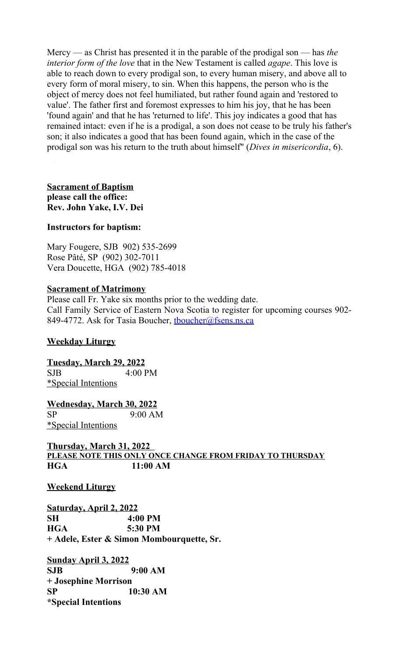Mercy — as Christ has presented it in the parable of the prodigal son — has *the interior form of the love* that in the New Testament is called *agape*. This love is able to reach down to every prodigal son, to every human misery, and above all to every form of moral misery, to sin. When this happens, the person who is the object of mercy does not feel humiliated, but rather found again and 'restored to value'. The father first and foremost expresses to him his joy, that he has been 'found again' and that he has 'returned to life'. This joy indicates a good that has remained intact: even if he is a prodigal, a son does not cease to be truly his father's son; it also indicates a good that has been found again, which in the case of the prodigal son was his return to the truth about himself" (*Dives in misericordia*, 6).

**Sacrament of Baptism please call the office: Rev. John Yake, I.V. Dei**

### **Instructors for baptism:**

Mary Fougere, SJB 902) 535-2699 Rose Pâté, SP (902) 302-7011 Vera Doucette, HGA (902) 785-4018

#### **Sacrament of Matrimony**

Please call Fr. Yake six months prior to the wedding date. Call Family Service of Eastern Nova Scotia to register for upcoming courses 902- 849-4772. Ask for Tasia Boucher, thoucher@fsens.ns.ca

### **Weekday Liturgy**

**Tuesday, March 29, 2022** SJB 4:00 PM \*Special Intentions

**Wednesday, March 30, 2022** SP 9:00 AM \*Special Intentions

**Thursday, March 31, 2022 PLEASE NOTE THIS ONLY ONCE CHANGE FROM FRIDAY TO THURSDAY HGA 11:00 AM**

### **Weekend Liturgy**

**Saturday, April 2, 2022 SH 4:00 PM HGA 5:30 PM + Adele, Ester & Simon Mombourquette, Sr.**

**Sunday April 3, 2022 SJB 9:00 AM + Josephine Morrison SP 10:30 AM \*Special Intentions**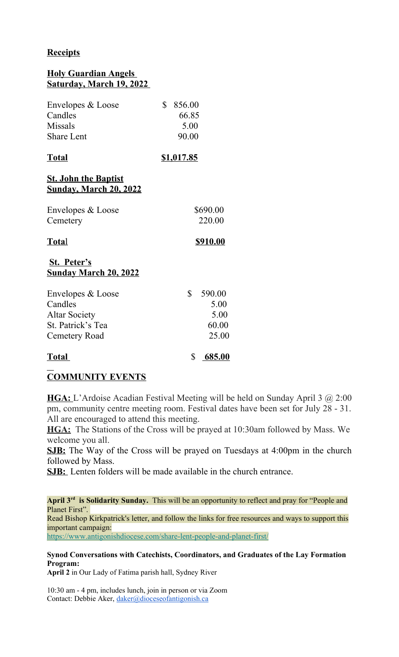## **Receipts**

# **Holy Guardian Angels Saturday, March 19, 2022**

| Envelopes & Loose                                                   | \$<br>856.00           |
|---------------------------------------------------------------------|------------------------|
| Candles                                                             | 66.85                  |
| Missals                                                             | 5.00                   |
| Share Lent                                                          | 90.00                  |
| <b>Total</b>                                                        | <u>\$1,017.85</u>      |
| <b><u>St. John the Baptist</u></b><br><b>Sunday, March 20, 2022</b> |                        |
| Envelopes & Loose                                                   | \$690.00               |
| Cemetery                                                            | 220.00                 |
| Total                                                               | <u>\$910.00</u>        |
| St. Peter's<br><u>Sunday March 20, 2022</u>                         |                        |
| Envelopes & Loose                                                   | $\mathbb{S}$<br>590.00 |
| Candles                                                             | 5.00                   |
| <b>Altar Society</b>                                                | 5.00                   |
| St. Patrick's Tea                                                   | 60.00                  |
| Cemetery Road                                                       | 25.00                  |
| <b>Total</b>                                                        | \$<br>685.00           |
|                                                                     |                        |

# **COMMUNITY EVENTS**

**HGA:** L'Ardoise Acadian Festival Meeting will be held on Sunday April 3 @ 2:00 pm, community centre meeting room. Festival dates have been set for July 28 - 31. All are encouraged to attend this meeting.

**HGA:** The Stations of the Cross will be prayed at 10:30am followed by Mass. We welcome you all.

**SJB:** The Way of the Cross will be prayed on Tuesdays at 4:00pm in the church followed by Mass.

**SJB:** Lenten folders will be made available in the church entrance.

**April 3rd is Solidarity Sunday.** This will be an opportunity to reflect and pray for "People and Planet First".

Read Bishop Kirkpatrick's letter, and follow the links for free resources and ways to support this important campaign:

[https://www.antigonishdiocese.com/share-lent-people-and-planet-first/](https://antigonishdiocese.us11.list-manage.com/track/click?u=46108c95b96680ff598b4aa1d&id=3bc85de865&e=60939d450d)

**Synod Conversations with Catechists, Coordinators, and Graduates of the Lay Formation Program:**

**April 2** in Our Lady of Fatima parish hall, Sydney River

10:30 am - 4 pm, includes lunch, join in person or via Zoom Contact: Debbie Aker, [daker@dioceseofantigonish.ca](mailto:daker@dioceseofantigonish.ca)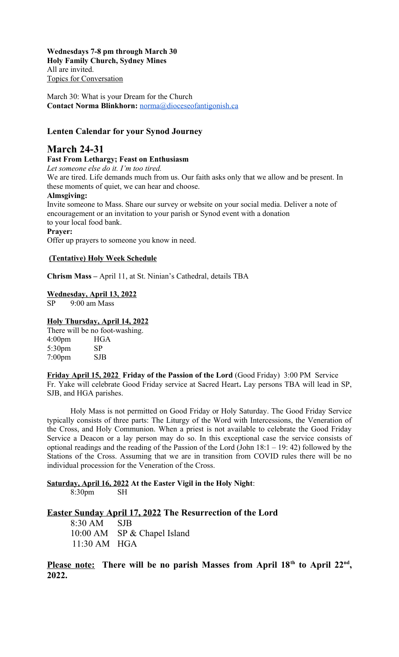#### **Wednesdays 7-8 pm through March 30 Holy Family Church, Sydney Mines** All are invited. Topics for Conversation

March 30: What is your Dream for the Church **Contact Norma Blinkhorn:** [norma@dioceseofantigonish.ca](mailto:norma@dioceseofantigonish.ca)

### **Lenten Calendar for your Synod Journey**

## **March 24-31**

#### **Fast From Lethargy; Feast on Enthusiasm**

*Let someone else do it. I'm too tired.*

We are tired. Life demands much from us. Our faith asks only that we allow and be present. In these moments of quiet, we can hear and choose.

#### **Almsgiving:**

Invite someone to Mass. Share our survey or website on your social media. Deliver a note of encouragement or an invitation to your parish or Synod event with a donation to your local food bank.

#### **Prayer:**

Offer up prayers to someone you know in need.

#### **(Tentative) Holy Week Schedule**

**Chrism Mass –** April 11, at St. Ninian's Cathedral, details TBA

#### **Wednesday, April 13, 2022**

SP 9:00 am Mass

#### **Holy Thursday, April 14, 2022**

There will be no foot-washing. 4:00pm HGA 5:30pm SP 7:00pm SJB

**Friday April 15, 2022 Friday of the Passion of the Lord** (Good Friday) 3:00 PM Service Fr. Yake will celebrate Good Friday service at Sacred Heart**.** Lay persons TBA will lead in SP, SJB, and HGA parishes.

Holy Mass is not permitted on Good Friday or Holy Saturday. The Good Friday Service typically consists of three parts: The Liturgy of the Word with Intercessions, the Veneration of the Cross, and Holy Communion. When a priest is not available to celebrate the Good Friday Service a Deacon or a lay person may do so. In this exceptional case the service consists of optional readings and the reading of the Passion of the Lord (John 18:1 – 19: 42) followed by the Stations of the Cross. Assuming that we are in transition from COVID rules there will be no individual procession for the Veneration of the Cross.

**Saturday, April 16, 2022 At the Easter Vigil in the Holy Night**: 8:30pm SH

### **Easter Sunday April 17, 2022 The Resurrection of the Lord**

8:30 AM SJB 10:00 AM SP & Chapel Island 11:30 AM HGA

**Please note: There will be no parish Masses from April 18th to April 22nd , 2022.**